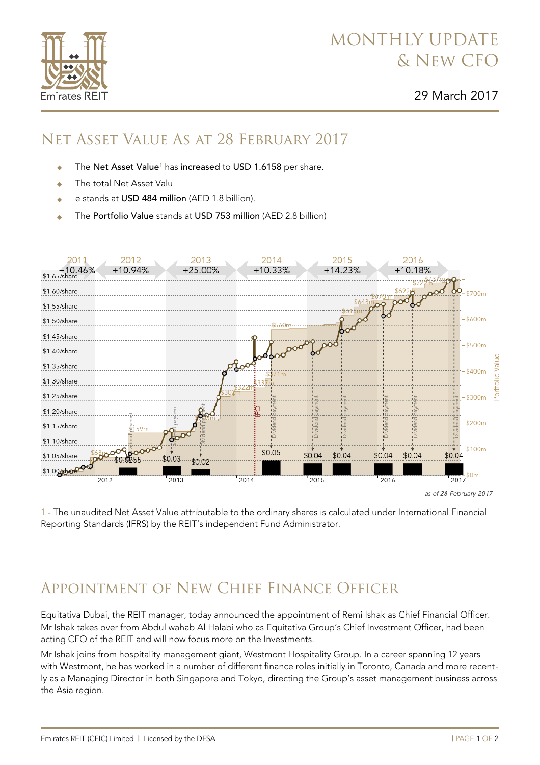## MONTHLY UPDATE & New CFO

2016

+10.18%

\$700m

## Net Asset Value As at 28 February 2017

- The Net Asset Value<sup>1</sup> has increased to USD 1.6158 per share.
- The total Net Asset Valu

2012

 $+10.94%$ 

- e stands at USD 484 million (AED 1.8 billion).
- The Portfolio Value stands at USD 753 million (AED 2.8 billion)

2013

 $+25.00%$ 

\$1.50/share \$600m \$1.45/share \$500m \$1.40/share \$1.35/share \$400m \$1.30/share \$1.25/share  $$300m$ \$1.20/share \$200<sub>m</sub> \$1.15/share \$1.10/share \$100m  $$0.05$  $$0.04$  $$0.04$  $$0.04$  $$0.04$ \$0.04 \$1.05/share \$0.03  $$0.0255$ \$0.02 \$1.00/sbare \$0m 2012 2013 2014 2015 2016  $2017$ as of 28 February 2017

2014

 $+10.33%$ 

2015

 $+14.23%$ 

1 - The unaudited Net Asset Value attributable to the ordinary shares is calculated under International Financial Reporting Standards (IFRS) by the REIT's independent Fund Administrator.

## Appointment of New Chief Finance Officer

Equitativa Dubai, the REIT manager, [today](http://airmail.calendar/2017-03-29%2012:00:00%20GMT+4) announced the appointment of Remi Ishak as Chief Financial Officer. Mr Ishak takes over from Abdul wahab Al Halabi who as Equitativa Group's Chief Investment Officer, had been acting CFO of the REIT and will now focus more on the Investments.

Mr Ishak joins from hospitality management giant, Westmont Hospitality Group. In a career spanning 12 years with Westmont, he has worked in a number of different finance roles initially in Toronto, Canada and more recently as a Managing Director in both Singapore and Tokyo, directing the Group's asset management business across the Asia region.



2011

 $+10.46%$ <br>\$1.65/share

\$1.60/share

\$1.55/share